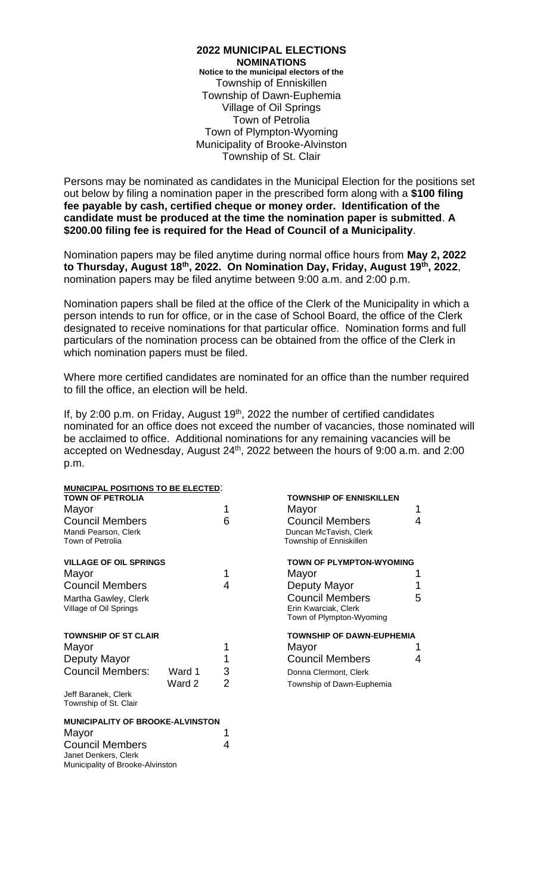**2022 MUNICIPAL ELECTIONS NOMINATIONS Notice to the municipal electors of the** Township of Enniskillen Township of Dawn-Euphemia Village of Oil Springs Town of Petrolia Town of Plympton-Wyoming Municipality of Brooke-Alvinston Township of St. Clair

Persons may be nominated as candidates in the Municipal Election for the positions set out below by filing a nomination paper in the prescribed form along with a **\$100 filing fee payable by cash, certified cheque or money order. Identification of the candidate must be produced at the time the nomination paper is submitted**. **A \$200.00 filing fee is required for the Head of Council of a Municipality**.

Nomination papers may be filed anytime during normal office hours from **May 2, 2022 to Thursday, August 18th , 2022. On Nomination Day, Friday, August 19th, 2022**, nomination papers may be filed anytime between 9:00 a.m. and 2:00 p.m.

Nomination papers shall be filed at the office of the Clerk of the Municipality in which a person intends to run for office, or in the case of School Board, the office of the Clerk designated to receive nominations for that particular office. Nomination forms and full particulars of the nomination process can be obtained from the office of the Clerk in which nomination papers must be filed.

Where more certified candidates are nominated for an office than the number required to fill the office, an election will be held.

If, by 2:00 p.m. on Friday, August  $19<sup>th</sup>$ , 2022 the number of certified candidates nominated for an office does not exceed the number of vacancies, those nominated will be acclaimed to office. Additional nominations for any remaining vacancies will be accepted on Wednesday, August 24<sup>th</sup>, 2022 between the hours of 9:00 a.m. and 2:00 p.m.

| MUNICIPAL POSITIONS TO BE ELECTED:      |        |   |                                  |   |
|-----------------------------------------|--------|---|----------------------------------|---|
| <b>TOWN OF PETROLIA</b>                 |        |   | <b>TOWNSHIP OF ENNISKILLEN</b>   |   |
| Mayor                                   |        |   | Mayor                            | 1 |
| <b>Council Members</b>                  |        | 6 | <b>Council Members</b>           | 4 |
| Mandi Pearson, Clerk                    |        |   | Duncan McTavish, Clerk           |   |
| Town of Petrolia                        |        |   | Township of Enniskillen          |   |
| <b>VILLAGE OF OIL SPRINGS</b>           |        |   | <b>TOWN OF PLYMPTON-WYOMING</b>  |   |
| Mayor                                   |        | 1 | Mayor                            |   |
| <b>Council Members</b>                  |        | 4 | Deputy Mayor                     | 1 |
| Martha Gawley, Clerk                    |        |   | <b>Council Members</b>           | 5 |
| Village of Oil Springs                  |        |   | Erin Kwarciak, Clerk             |   |
|                                         |        |   | Town of Plympton-Wyoming         |   |
| <b>TOWNSHIP OF ST CLAIR</b>             |        |   | <b>TOWNSHIP OF DAWN-EUPHEMIA</b> |   |
| Mayor                                   |        |   | Mayor                            |   |
| Deputy Mayor                            |        |   | <b>Council Members</b>           | 4 |
| <b>Council Members:</b>                 | Ward 1 | 3 | Donna Clermont, Clerk            |   |
|                                         | Ward 2 | 2 | Township of Dawn-Euphemia        |   |
| Jeff Baranek, Clerk                     |        |   |                                  |   |
| Township of St. Clair                   |        |   |                                  |   |
| <b>MUNICIPALITY OF BROOKE-ALVINSTON</b> |        |   |                                  |   |
| Mayor                                   |        |   |                                  |   |
| <b>Council Members</b>                  |        | 4 |                                  |   |

Janet Denkers, Clerk

Municipality of Brooke-Alvinston